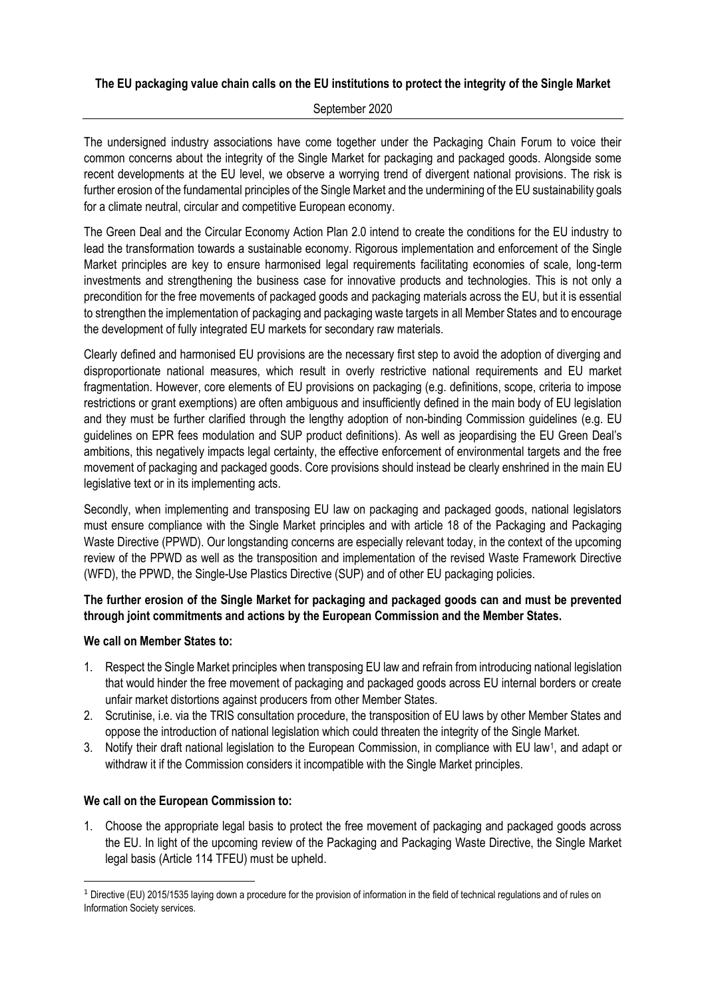# **The EU packaging value chain calls on the EU institutions to protect the integrity of the Single Market**

#### September 2020

The undersigned industry associations have come together under the Packaging Chain Forum to voice their common concerns about the integrity of the Single Market for packaging and packaged goods. Alongside some recent developments at the EU level, we observe a worrying trend of divergent national provisions. The risk is further erosion of the fundamental principles of the Single Market and the undermining of the EU sustainability goals for a climate neutral, circular and competitive European economy.

The Green Deal and the Circular Economy Action Plan 2.0 intend to create the conditions for the EU industry to lead the transformation towards a sustainable economy. Rigorous implementation and enforcement of the Single Market principles are key to ensure harmonised legal requirements facilitating economies of scale, long-term investments and strengthening the business case for innovative products and technologies. This is not only a precondition for the free movements of packaged goods and packaging materials across the EU, but it is essential to strengthen the implementation of packaging and packaging waste targets in all Member States and to encourage the development of fully integrated EU markets for secondary raw materials.

Clearly defined and harmonised EU provisions are the necessary first step to avoid the adoption of diverging and disproportionate national measures, which result in overly restrictive national requirements and EU market fragmentation. However, core elements of EU provisions on packaging (e.g. definitions, scope, criteria to impose restrictions or grant exemptions) are often ambiguous and insufficiently defined in the main body of EU legislation and they must be further clarified through the lengthy adoption of non-binding Commission guidelines (e.g. EU guidelines on EPR fees modulation and SUP product definitions). As well as jeopardising the EU Green Deal's ambitions, this negatively impacts legal certainty, the effective enforcement of environmental targets and the free movement of packaging and packaged goods. Core provisions should instead be clearly enshrined in the main EU legislative text or in its implementing acts.

Secondly, when implementing and transposing EU law on packaging and packaged goods, national legislators must ensure compliance with the Single Market principles and with article 18 of the Packaging and Packaging Waste Directive (PPWD). Our longstanding concerns are especially relevant today, in the context of the upcoming review of the PPWD as well as the transposition and implementation of the revised Waste Framework Directive (WFD), the PPWD, the Single-Use Plastics Directive (SUP) and of other EU packaging policies.

# **The further erosion of the Single Market for packaging and packaged goods can and must be prevented through joint commitments and actions by the European Commission and the Member States.**

# **We call on Member States to:**

- 1. Respect the Single Market principles when transposing EU law and refrain from introducing national legislation that would hinder the free movement of packaging and packaged goods across EU internal borders or create unfair market distortions against producers from other Member States.
- 2. Scrutinise, i.e. via the TRIS consultation procedure, the transposition of EU laws by other Member States and oppose the introduction of national legislation which could threaten the integrity of the Single Market.
- 3. Notify their draft national legislation to the European Commission, in compliance with EU law<sup>1</sup>, and adapt or withdraw it if the Commission considers it incompatible with the Single Market principles.

# **We call on the European Commission to:**

1. Choose the appropriate legal basis to protect the free movement of packaging and packaged goods across the EU. In light of the upcoming review of the Packaging and Packaging Waste Directive, the Single Market legal basis (Article 114 TFEU) must be upheld.

 $1$  Directive (EU) 2015/1535 laying down a procedure for the provision of information in the field of technical regulations and of rules on Information Society services.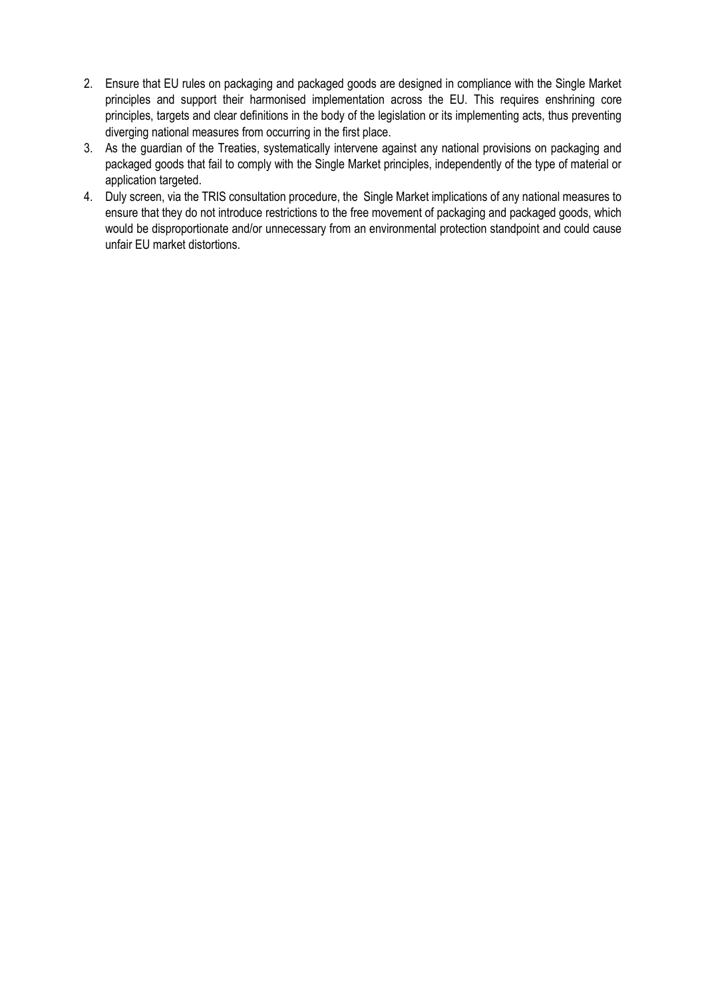- 2. Ensure that EU rules on packaging and packaged goods are designed in compliance with the Single Market principles and support their harmonised implementation across the EU. This requires enshrining core principles, targets and clear definitions in the body of the legislation or its implementing acts, thus preventing diverging national measures from occurring in the first place.
- 3. As the guardian of the Treaties, systematically intervene against any national provisions on packaging and packaged goods that fail to comply with the Single Market principles, independently of the type of material or application targeted.
- 4. Duly screen, via the TRIS consultation procedure, the Single Market implications of any national measures to ensure that they do not introduce restrictions to the free movement of packaging and packaged goods, which would be disproportionate and/or unnecessary from an environmental protection standpoint and could cause unfair EU market distortions.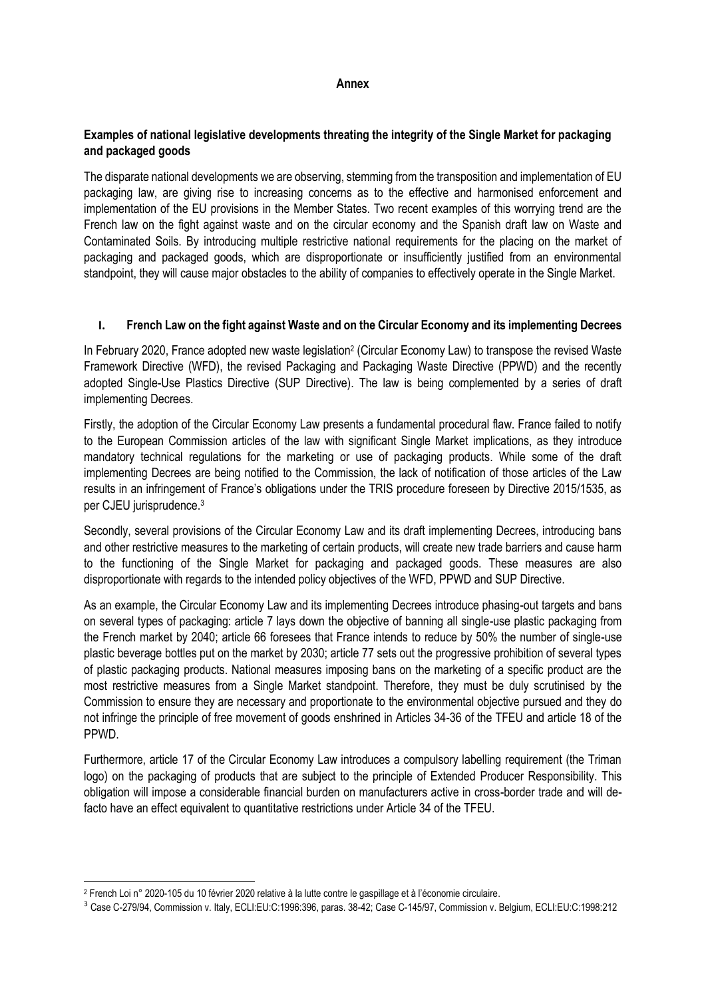#### **Annex**

# **Examples of national legislative developments threating the integrity of the Single Market for packaging and packaged goods**

The disparate national developments we are observing, stemming from the transposition and implementation of EU packaging law, are giving rise to increasing concerns as to the effective and harmonised enforcement and implementation of the EU provisions in the Member States. Two recent examples of this worrying trend are the French law on the fight against waste and on the circular economy and the Spanish draft law on Waste and Contaminated Soils. By introducing multiple restrictive national requirements for the placing on the market of packaging and packaged goods, which are disproportionate or insufficiently justified from an environmental standpoint, they will cause major obstacles to the ability of companies to effectively operate in the Single Market.

#### **I. French Law on the fight against Waste and on the Circular Economy and its implementing Decrees**

In February 2020, France adopted new waste legislation<sup>2</sup> (Circular Economy Law) to transpose the revised Waste Framework Directive (WFD), the revised Packaging and Packaging Waste Directive (PPWD) and the recently adopted Single-Use Plastics Directive (SUP Directive). The law is being complemented by a series of draft implementing Decrees.

Firstly, the adoption of the Circular Economy Law presents a fundamental procedural flaw. France failed to notify to the European Commission articles of the law with significant Single Market implications, as they introduce mandatory technical regulations for the marketing or use of packaging products. While some of the draft implementing Decrees are being notified to the Commission, the lack of notification of those articles of the Law results in an infringement of France's obligations under the TRIS procedure foreseen by Directive 2015/1535, as per CJEU jurisprudence.<sup>3</sup>

Secondly, several provisions of the Circular Economy Law and its draft implementing Decrees, introducing bans and other restrictive measures to the marketing of certain products, will create new trade barriers and cause harm to the functioning of the Single Market for packaging and packaged goods. These measures are also disproportionate with regards to the intended policy objectives of the WFD, PPWD and SUP Directive.

As an example, the Circular Economy Law and its implementing Decrees introduce phasing-out targets and bans on several types of packaging: article 7 lays down the objective of banning all single-use plastic packaging from the French market by 2040; article 66 foresees that France intends to reduce by 50% the number of single-use plastic beverage bottles put on the market by 2030; article 77 sets out the progressive prohibition of several types of plastic packaging products. National measures imposing bans on the marketing of a specific product are the most restrictive measures from a Single Market standpoint. Therefore, they must be duly scrutinised by the Commission to ensure they are necessary and proportionate to the environmental objective pursued and they do not infringe the principle of free movement of goods enshrined in Articles 34-36 of the TFEU and article 18 of the PPWD.

Furthermore, article 17 of the Circular Economy Law introduces a compulsory labelling requirement (the Triman logo) on the packaging of products that are subject to the principle of Extended Producer Responsibility. This obligation will impose a considerable financial burden on manufacturers active in cross-border trade and will defacto have an effect equivalent to quantitative restrictions under Article 34 of the TFEU.

<sup>2</sup> French Loi n° 2020-105 du 10 février 2020 relative à la lutte contre le gaspillage et à l'économie circulaire.

<sup>3</sup> Case C-279/94, Commission v. Italy, ECLI:EU:C:1996:396, paras. 38-42; Case C-145/97, Commission v. Belgium, ECLI:EU:C:1998:212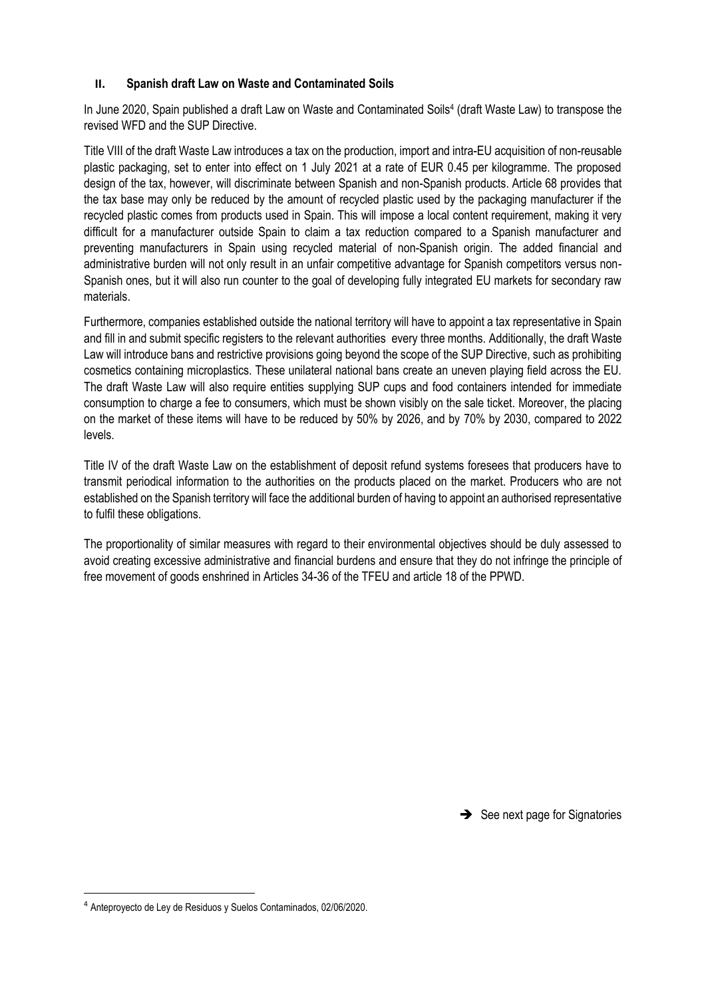# **II. Spanish draft Law on Waste and Contaminated Soils**

In June 2020, Spain published a [draft Law](https://www.sagisepr.com/synd_v3/index.php?token=44eba2a42feb4ac3c3747a6f3fe8fd921c97811d52b75c2eec47ff6539b9994bbbb3c161dbca32b7e208e6fee9849de86a6527f259182a4bbb7d84f2b5e1d11e) on Waste and Contaminated Soils<sup>4</sup> (draft Waste Law) to transpose the revised WFD and the SUP Directive.

Title VIII of the draft Waste Law introduces a tax on the production, import and intra-EU acquisition of non-reusable plastic packaging, set to enter into effect on 1 July 2021 at a rate of EUR 0.45 per kilogramme. The proposed design of the tax, however, will discriminate between Spanish and non-Spanish products. Article 68 provides that the tax base may only be reduced by the amount of recycled plastic used by the packaging manufacturer if the recycled plastic comes from products used in Spain. This will impose a local content requirement, making it very difficult for a manufacturer outside Spain to claim a tax reduction compared to a Spanish manufacturer and preventing manufacturers in Spain using recycled material of non-Spanish origin. The added financial and administrative burden will not only result in an unfair competitive advantage for Spanish competitors versus non-Spanish ones, but it will also run counter to the goal of developing fully integrated EU markets for secondary raw materials.

Furthermore, companies established outside the national territory will have to appoint a tax representative in Spain and fill in and submit specific registers to the relevant authorities every three months. Additionally, the draft Waste Law will introduce bans and restrictive provisions going beyond the scope of the SUP Directive, such as prohibiting cosmetics containing microplastics. These unilateral national bans create an uneven playing field across the EU. The draft Waste Law will also require entities supplying SUP cups and food containers intended for immediate consumption to charge a fee to consumers, which must be shown visibly on the sale ticket. Moreover, the placing on the market of these items will have to be reduced by 50% by 2026, and by 70% by 2030, compared to 2022 levels.

Title IV of the draft Waste Law on the establishment of deposit refund systems foresees that producers have to transmit periodical information to the authorities on the products placed on the market. Producers who are not established on the Spanish territory will face the additional burden of having to appoint an authorised representative to fulfil these obligations.

The proportionality of similar measures with regard to their environmental objectives should be duly assessed to avoid creating excessive administrative and financial burdens and ensure that they do not infringe the principle of free movement of goods enshrined in Articles 34-36 of the TFEU and article 18 of the PPWD.

 $\rightarrow$  See next page for Signatories

<sup>4</sup> Anteproyecto de Ley de Residuos y Suelos Contaminados, 02/06/2020.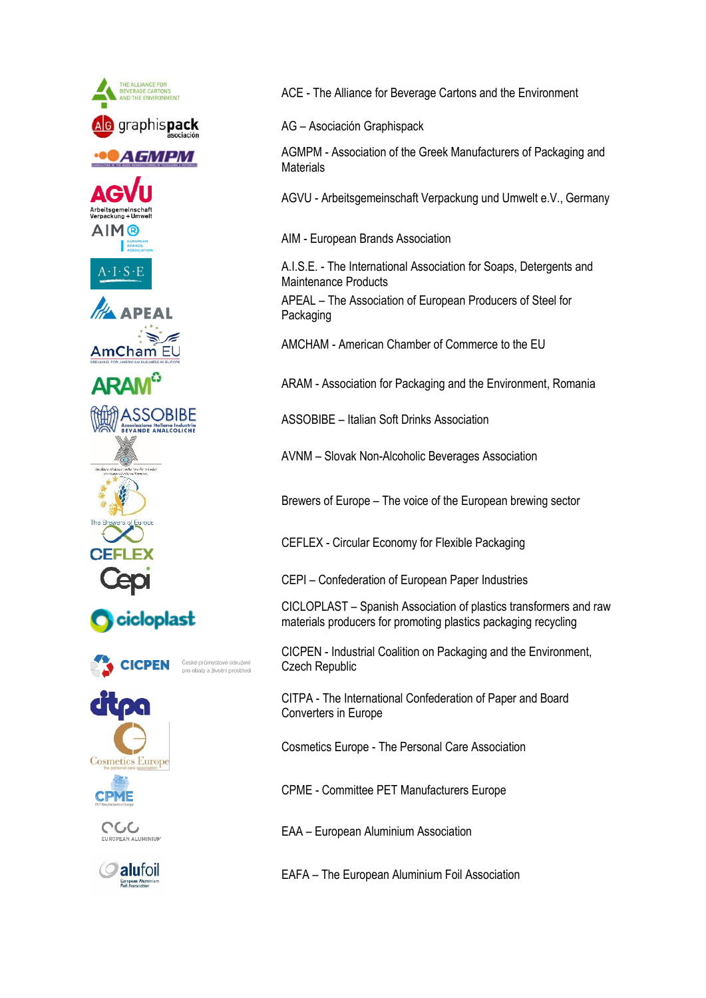

ACE - The Alliance for Beverage Cartons and the Environment

AG – Asociación Graphispack

AGMPM - Association of the Greek Manufacturers of Packaging and **Materials** 

AGVU - Arbeitsgemeinschaft Verpackung und Umwelt e.V., Germany

AIM - European Brands Association

A.I.S.E. - The International Association for Soaps, Detergents and Maintenance Products

APEAL – The Association of European Producers of Steel for Packaging

AMCHAM - American Chamber of Commerce to the EU

ARAM - Association for Packaging and the Environment, Romania

ASSOBIBE – Italian Soft Drinks Association

AVNM – Slovak Non-Alcoholic Beverages Association

Brewers of Europe – The voice of the European brewing sector

CEFLEX - Circular Economy for Flexible Packaging

CEPI – Confederation of European Paper Industries

CICLOPLAST – Spanish Association of plastics transformers and raw materials producers for promoting plastics packaging recycling

CICPEN - Industrial Coalition on Packaging and the Environment, Czech Republic

CITPA - The International Confederation of Paper and Board Converters in Europe

Cosmetics Europe - The Personal Care Association

CPME - Committee PET Manufacturers Europe

EAA – European Aluminium Association

EAFA – The European Aluminium Foil Association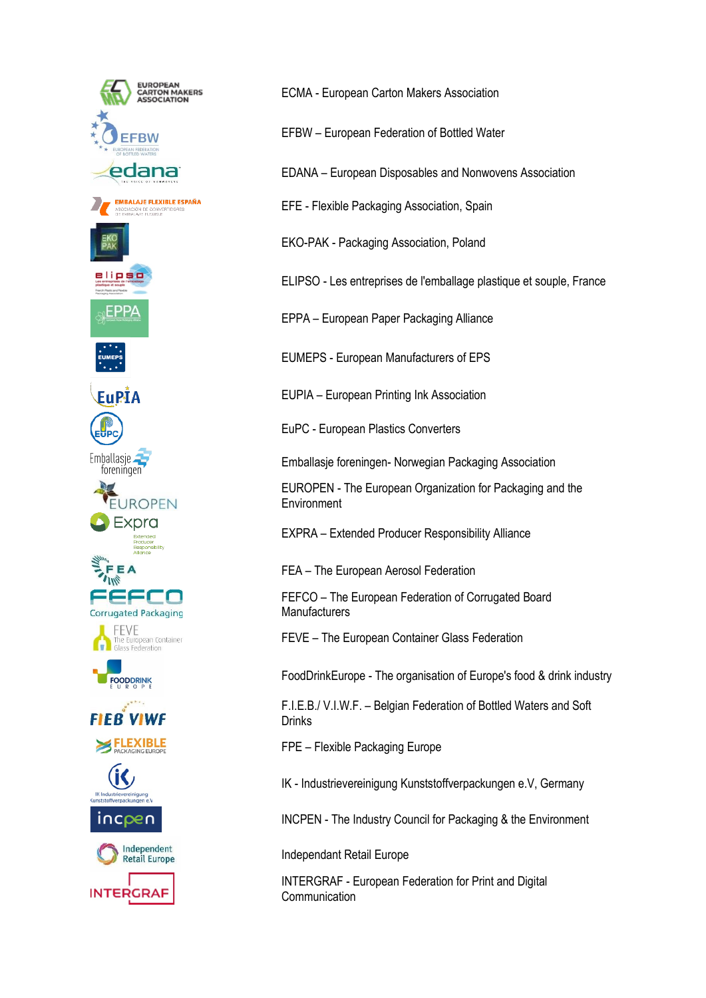

ECMA - European Carton Makers Association

EFBW – European Federation of Bottled Water

EDANA – European Disposables and Nonwovens Association

EFE - Flexible Packaging Association, Spain

EKO-PAK - Packaging Association, Poland

ELIPSO - Les entreprises de l'emballage plastique et souple, France

EPPA – European Paper Packaging Alliance

EUMEPS - European Manufacturers of EPS

EUPIA – European Printing Ink Association

EuPC - European Plastics Converters

Emballasje foreningen- Norwegian Packaging Association

EUROPEN - The European Organization for Packaging and the Environment

EXPRA – Extended Producer Responsibility Alliance

FEA – The European Aerosol Federation

FEFCO – The European Federation of Corrugated Board **Manufacturers** 

FEVE – The European Container Glass Federation

FoodDrinkEurope - The organisation of Europe's food & drink industry

F.I.E.B./ V.I.W.F. – Belgian Federation of Bottled Waters and Soft Drinks

FPE – Flexible Packaging Europe

IK - Industrievereinigung Kunststoffverpackungen e.V, Germany

INCPEN - The Industry Council for Packaging & the Environment

Independant Retail Europe

INTERGRAF - European Federation for Print and Digital **Communication**